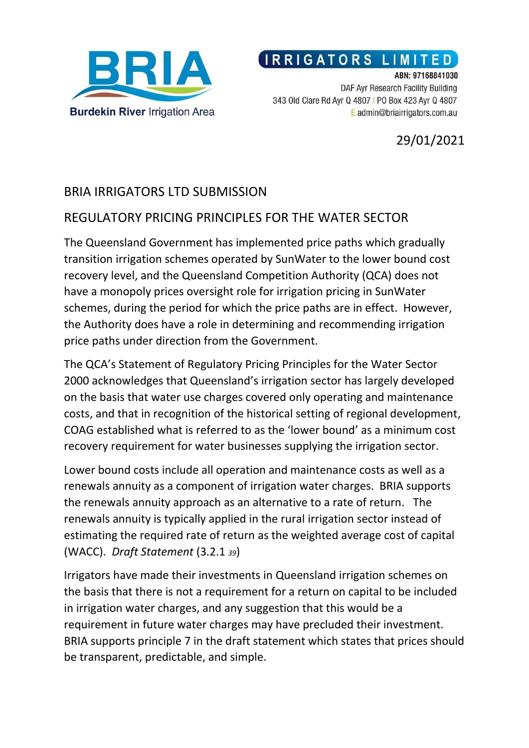



ABN: 97168841030 DAF Ayr Research Facility Building 343 Old Clare Rd Ayr Q 4807 | PO Box 423 Ayr Q 4807 E admin@briairrigators.com.au

29/01/2021

## BRIA IRRIGATORS LTD SUBMISSION

## REGULATORY PRICING PRINCIPLES FOR THE WATER SECTOR

The Queensland Government has implemented price paths which gradually transition irrigation schemes operated by SunWater to the lower bound cost recovery level, and the Queensland Competition Authority (QCA) does not have a monopoly prices oversight role for irrigation pricing in SunWater schemes, during the period for which the price paths are in effect. However, the Authority does have a role in determining and recommending irrigation price paths under direction from the Government.

The QCA's Statement of Regulatory Pricing Principles for the Water Sector 2000 acknowledges that Queensland's irrigation sector has largely developed on the basis that water use charges covered only operating and maintenance costs, and that in recognition of the historical setting of regional development, COAG established what is referred to as the 'lower bound' as a minimum cost recovery requirement for water businesses supplying the irrigation sector.

Lower bound costs include all operation and maintenance costs as well as a renewals annuity as a component of irrigation water charges. BRIA supports the renewals annuity approach as an alternative to a rate of return. The renewals annuity is typically applied in the rural irrigation sector instead of estimating the required rate of return as the weighted average cost of capital (WACC). *Draft Statement* (3.2.1 *<sup>39</sup>*)

Irrigators have made their investments in Queensland irrigation schemes on the basis that there is not a requirement for a return on capital to be included in irrigation water charges, and any suggestion that this would be a requirement in future water charges may have precluded their investment. BRIA supports principle 7 in the draft statement which states that prices should be transparent, predictable, and simple.